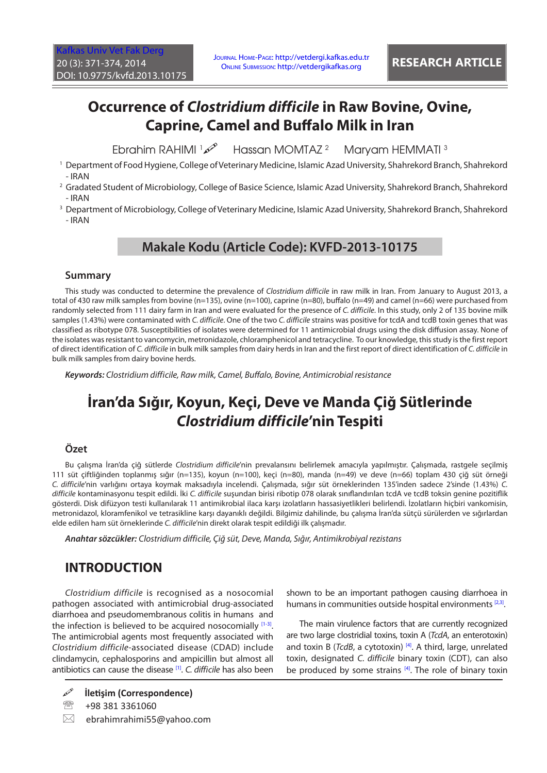# **Occurrence of** *Clostridium difficile* **in Raw Bovine, Ovine, Caprine, Camel and Buffalo Milk in Iran**

Ebrahim RAHIMI 1 Hassan MOMTAZ<sup>2</sup> Maryam HEMMATI<sup>3</sup>

1 Department of Food Hygiene, College of Veterinary Medicine, Islamic Azad University, Shahrekord Branch, Shahrekord - IRAN

2 Gradated Student of Microbiology, College of Basice Science, Islamic Azad University, Shahrekord Branch, Shahrekord - IRAN

3 Department of Microbiology, College of Veterinary Medicine, Islamic Azad University, Shahrekord Branch, Shahrekord - IRAN

### **Makale Kodu (Article Code): KVFD-2013-10175**

### **Summary**

This study was conducted to determine the prevalence of *Clostridium difficile* in raw milk in Iran. From January to August 2013, a total of 430 raw milk samples from bovine (n=135), ovine (n=100), caprine (n=80), buffalo (n=49) and camel (n=66) were purchased from randomly selected from 111 dairy farm in Iran and were evaluated for the presence of *C. difficile*. In this study, only 2 of 135 bovine milk samples (1.43%) were contaminated with *C. difficile*. One of the two *C. difficile* strains was positive for tcdA and tcdB toxin genes that was classified as ribotype 078. Susceptibilities of isolates were determined for 11 antimicrobial drugs using the disk diffusion assay. None of the isolates was resistant to vancomycin, metronidazole, chloramphenicol and tetracycline. To our knowledge, this study is the first report of direct identification of *C. difficile* in bulk milk samples from dairy herds in Iran and the first report of direct identification of *C. difficile* in bulk milk samples from dairy bovine herds.

*Keywords: Clostridium difficile, Raw milk, Camel, Buffalo, Bovine, Antimicrobial resistance*

# **İran'da Sığır, Koyun, Keçi, Deve ve Manda Çiğ Sütlerinde**  *Clostridium difficile***'nin Tespiti**

### **Özet**

Bu çalışma İran'da çiğ sütlerde *Clostridium difficile*'nin prevalansını belirlemek amacıyla yapılmıştır. Çalışmada, rastgele seçilmiş 111 süt çiftliğinden toplanmış sığır (n=135), koyun (n=100), keçi (n=80), manda (n=49) ve deve (n=66) toplam 430 çiğ süt örneği *C. difficile*'nin varlığını ortaya koymak maksadıyla incelendi. Çalışmada, sığır süt örneklerinden 135'inden sadece 2'sinde (1.43%) *C. difficile* kontaminasyonu tespit edildi. İki *C. difficile* suşundan birisi ribotip 078 olarak sınıflandırılan tcdA ve tcdB toksin genine pozitiflik gösterdi. Disk difüzyon testi kullanılarak 11 antimikrobial ilaca karşı izolatların hassasiyetlikleri belirlendi. İzolatların hiçbiri vankomisin, metronidazol, kloramfenikol ve tetrasikline karşı dayanıklı değildi. Bilgimiz dahilinde, bu çalışma İran'da sütçü sürülerden ve sığırlardan elde edilen ham süt örneklerinde *C. difficile*'nin direkt olarak tespit edildiği ilk çalışmadır.

*Anahtar sözcükler: Clostridium difficile, Çiğ süt, Deve, Manda, Sığır, Antimikrobiyal rezistans*

# **INTRODUCTION**

*Clostridium difficile* is recognised as a nosocomial pathogen associated with antimicrobial drug-associated diarrhoea and pseudomembranous colitis in humans and the infection is believed to be acquired nosocomially  $[1-3]$ . The antimicrobial agents most frequently associated with *Clostridium difficile*-associated disease (CDAD) include clindamycin, cephalosporins and ampicillin but almost all antibiotics can cause the disease [[1\].](#page-3-0) *C. difficile* has also been

 $\boxtimes$  ebrahimrahimi55@yahoo.com

shown to be an important pathogen causing diarrhoea in humans in communities outside hospital environments<sup>[2,3]</sup>.

The main virulence factors that are currently recognized are two large clostridial toxins, toxin A (*TcdA*, an enterotoxin) and toxin B (*TcdB*, a cytotoxin)<sup>[4]</sup>. A third, large, unrelated toxin, designated *C. difficile* binary toxin (CDT), can also be produced by some strains  $[4]$ . The role of binary toxin

**İletişim (Correspondence)**

图 +98 381 3361060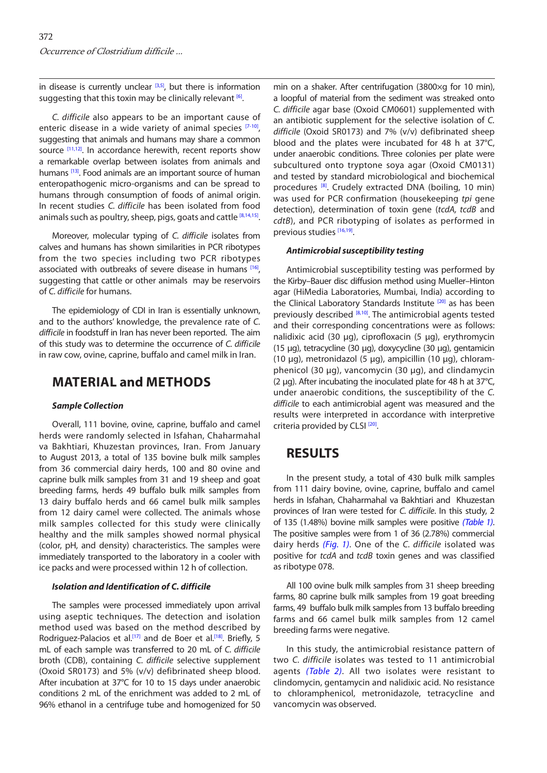in disease is currently unclear  $[3,5]$ , but there is information suggesting that this toxin may be clinically relevant  $[6]$ .

*C. difficile* also appears to be an important cause of enteric disease in a wide variety of animal species [\[7-10\]](#page-3-0), suggesting that animals and humans may share a common source [[11,12\].](#page-3-0) In accordance herewith, recent reports show a remarkable overlap between isolates from animals and humans <sup>[13]</sup>. Food animals are an important source of human enteropathogenic micro-organisms and can be spread to humans through consumption of foods of animal origin. In recent studies *C. difficile* has been isolated from food animals such as poultry, sheep, pigs, goats and cattle  $[8,14,15]$ .

Moreover, molecular typing of *C. difficile* isolates from calves and humans has shown similarities in PCR ribotypes from the two species including two PCR ribotypes associated with outbreaks of severe disease in humans [\[16\],](#page-3-0) suggesting that cattle or other animals may be reservoirs of *C. difficile* for humans.

The epidemiology of CDI in Iran is essentially unknown, and to the authors' knowledge, the prevalence rate of *C. difficile* in foodstuff in Iran has never been reported. The aim of this study was to determine the occurrence of *C. difficile* in raw cow, ovine, caprine, buffalo and camel milk in Iran.

## **MATERIAL and METHODS**

### *Sample Collection*

Overall, 111 bovine, ovine, caprine, buffalo and camel herds were randomly selected in Isfahan, Chaharmahal va Bakhtiari, Khuzestan provinces, Iran. From January to August 2013, a total of 135 bovine bulk milk samples from 36 commercial dairy herds, 100 and 80 ovine and caprine bulk milk samples from 31 and 19 sheep and goat breeding farms, herds 49 buffalo bulk milk samples from 13 dairy buffalo herds and 66 camel bulk milk samples from 12 dairy camel were collected. The animals whose milk samples collected for this study were clinically healthy and the milk samples showed normal physical (color, pH, and density) characteristics. The samples were immediately transported to the laboratory in a cooler with ice packs and were processed within 12 h of collection.

### *Isolation and Identification of C. difficile*

The samples were processed immediately upon arrival using aseptic techniques. The detection and isolation method used was based on the method described by Rodriguez-Palacios et al.<sup>[17]</sup> and de Boer et al.<sup>[18]</sup>. Briefly, 5 mL of each sample was transferred to 20 mL of *C. difficile* broth (CDB), containing *C. difficile* selective supplement (Oxoid SR0173) and 5% (v/v) defibrinated sheep blood. After incubation at 37°C for 10 to 15 days under anaerobic conditions 2 mL of the enrichment was added to 2 mL of 96% ethanol in a centrifuge tube and homogenized for 50

min on a shaker. After centrifugation (3800×g for 10 min), a loopful of material from the sediment was streaked onto *C. difficile* agar base (Oxoid CM0601) supplemented with an antibiotic supplement for the selective isolation of *C. difficile* (Oxoid SR0173) and 7% (v/v) defibrinated sheep blood and the plates were incubated for 48 h at 37°C, under anaerobic conditions. Three colonies per plate were subcultured onto tryptone soya agar (Oxoid CM0131) and tested by standard microbiological and biochemical procedures [\[8\].](#page-3-0) Crudely extracted DNA (boiling, 10 min) was used for PCR confirmation (housekeeping *tpi* gene detection), determination of toxin gene (*tcdA, tcdB* and *cdtB*), and PCR ribotyping of isolates as performed in previous studies [\[16,19\].](#page-3-0)

### *Antimicrobial susceptibility testing*

Antimicrobial susceptibility testing was performed by the Kirby–Bauer disc diffusion method using Mueller–Hinton agar (HiMedia Laboratories, Mumbai, India) according to the Clinical Laboratory Standards Institute<sup>[[20\]](#page-3-0)</sup> as has been previously described [\[8,10\].](#page-3-0) The antimicrobial agents tested and their corresponding concentrations were as follows: nalidixic acid (30 µg), ciprofloxacin (5 µg), erythromycin (15 µg), tetracycline (30 µg), doxycycline (30 µg), gentamicin (10 µg), metronidazol (5 µg), ampicillin (10 µg), chloramphenicol (30 µg), vancomycin (30 µg), and clindamycin (2  $\mu$ q). After incubating the inoculated plate for 48 h at 37 $\degree$ C, under anaerobic conditions, the susceptibility of the *C. difficile* to each antimicrobial agent was measured and the results were interpreted in accordance with interpretive criteria provided by CLSI<sup>[20]</sup>.

# **RESULTS**

In the present study, a total of 430 bulk milk samples from 111 dairy bovine, ovine, caprine, buffalo and camel herds in Isfahan, Chaharmahal va Bakhtiari and Khuzestan provinces of Iran were tested for *C. difficile*. In this study, 2 of 135 (1.48%) bovine milk samples were positive *[\(Table 1\)](#page-2-0)*. The positive samples were from 1 of 36 (2.78%) commercial dairy herds *[\(Fig. 1\)](#page-2-0)*. One of the *C. difficile* isolated was positive for *tcdA* and *tcdB* toxin genes and was classified as ribotype 078.

All 100 ovine bulk milk samples from 31 sheep breeding farms, 80 caprine bulk milk samples from 19 goat breeding farms, 49 buffalo bulk milk samples from 13 buffalo breeding farms and 66 camel bulk milk samples from 12 camel breeding farms were negative.

In this study, the antimicrobial resistance pattern of two *C. difficile* isolates was tested to 11 antimicrobial agents *([Table 2\)](#page-2-0)*. All two isolates were resistant to clindomycin, gentamycin and nalidixic acid. No resistance to chloramphenicol, metronidazole, tetracycline and vancomycin was observed.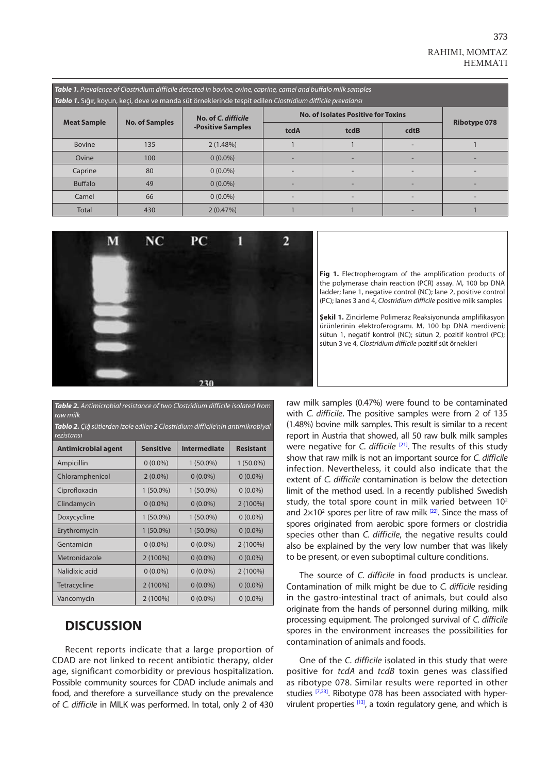<span id="page-2-0"></span>

| Table 1. Prevalence of Clostridium difficile detected in bovine, ovine, caprine, camel and buffalo milk samples<br>Tablo 1. Siğır, koyun, keçi, deve ve manda süt örneklerinde tespit edilen Clostridium difficile prevalansı |                       |                                          |                                            |                          |                          |                     |  |  |  |
|-------------------------------------------------------------------------------------------------------------------------------------------------------------------------------------------------------------------------------|-----------------------|------------------------------------------|--------------------------------------------|--------------------------|--------------------------|---------------------|--|--|--|
| <b>Meat Sample</b>                                                                                                                                                                                                            | <b>No. of Samples</b> | No. of C. difficile<br>-Positive Samples | <b>No. of Isolates Positive for Toxins</b> |                          |                          |                     |  |  |  |
|                                                                                                                                                                                                                               |                       |                                          | tcdA                                       | tcdB                     | cdtB                     | <b>Ribotype 078</b> |  |  |  |
| <b>Bovine</b>                                                                                                                                                                                                                 | 135                   | 2(1.48%)                                 |                                            |                          |                          |                     |  |  |  |
| Ovine                                                                                                                                                                                                                         | 100                   | $0(0.0\%)$                               |                                            |                          |                          |                     |  |  |  |
| Caprine                                                                                                                                                                                                                       | 80                    | $0(0.0\%)$                               |                                            | $\overline{\phantom{0}}$ | $\overline{\phantom{0}}$ |                     |  |  |  |
| <b>Buffalo</b>                                                                                                                                                                                                                | 49                    | $0(0.0\%)$                               |                                            |                          |                          |                     |  |  |  |
| Camel                                                                                                                                                                                                                         | 66                    | $0(0.0\%)$                               |                                            |                          |                          |                     |  |  |  |
| Total                                                                                                                                                                                                                         | 430                   | 2(0.47%)                                 |                                            |                          |                          |                     |  |  |  |



**Fig 1.** Electropherogram of the amplification products of the polymerase chain reaction (PCR) assay. M, 100 bp DNA ladder; lane 1, negative control (NC); lane 2, positive control (PC); lanes 3 and 4, *Clostridium difficile* positive milk samples

**Şekil 1.** Zincirleme Polimeraz Reaksiyonunda amplifikasyon ürünlerinin elektroferogramı. M, 100 bp DNA merdiveni; sütun 1, negatif kontrol (NC); sütun 2, pozitif kontrol (PC); sütun 3 ve 4, *Clostridium difficile* pozitif süt örnekleri

*Table 2. Antimicrobial resistance of two Clostridium difficile isolated from raw milk*

| Tablo 2. Çiğ sütlerden izole edilen 2 Clostridium difficile'nin antimikrobiyal |  |  |
|--------------------------------------------------------------------------------|--|--|
| rezistansı                                                                     |  |  |
|                                                                                |  |  |

| <b>Antimicrobial agent</b> | <b>Sensitive</b> | <b>Intermediate</b> | <b>Resistant</b> |
|----------------------------|------------------|---------------------|------------------|
| Ampicillin                 | $0(0.0\%)$       | $1(50.0\%)$         | $1(50.0\%)$      |
| Chloramphenicol            | $2(0.0\%)$       | $0(0.0\%)$          | $0(0.0\%)$       |
| Ciprofloxacin              | $1(50.0\%)$      | $1(50.0\%)$         | $0(0.0\%)$       |
| Clindamycin                | $0(0.0\%)$       | $0(0.0\%)$          | $2(100\%)$       |
| Doxycycline                | $1(50.0\%)$      | $1(50.0\%)$         | $0(0.0\%)$       |
| Erythromycin               | $1(50.0\%)$      | $1(50.0\%)$         | $0(0.0\%)$       |
| Gentamicin                 | $0(0.0\%)$       | $0(0.0\%)$          | $2(100\%)$       |
| Metronidazole              | $2(100\%)$       | $0(0.0\%)$          | $0(0.0\%)$       |
| Nalidixic acid             | $0(0.0\%)$       | $0(0.0\%)$          | $2(100\%)$       |
| Tetracycline               | $2(100\%)$       | $0(0.0\%)$          | $0(0.0\%)$       |
| Vancomycin                 | $2(100\%)$       | $0(0.0\%)$          | $0(0.0\%)$       |

## **DISCUSSION**

Recent reports indicate that a large proportion of CDAD are not linked to recent antibiotic therapy, older age, significant comorbidity or previous hospitalization. Possible community sources for CDAD include animals and food, and therefore a surveillance study on the prevalence of *C. difficile* in MILK was performed. In total, only 2 of 430

raw milk samples (0.47%) were found to be contaminated with *C. difficile*. The positive samples were from 2 of 135 (1.48%) bovine milk samples. This result is similar to a recent report in Austria that showed, all 50 raw bulk milk samples were negative for *C. difficile* [\[21\].](#page-3-0) The results of this study show that raw milk is not an important source for *C. difficile* infection. Nevertheless, it could also indicate that the extent of *C. difficile* contamination is below the detection limit of the method used. In a recently published Swedish study, the total spore count in milk varied between 10<sup>2</sup> and  $2\times10^2$  spores per litre of raw milk  $^{[22]}$ . Since the mass of spores originated from aerobic spore formers or clostridia species other than *C. difficile*, the negative results could also be explained by the very low number that was likely to be present, or even suboptimal culture conditions.

The source of *C. difficile* in food products is unclear. Contamination of milk might be due to *C. difficile* residing in the gastro-intestinal tract of animals, but could also originate from the hands of personnel during milking, milk processing equipment. The prolonged survival of *C. difficile* spores in the environment increases the possibilities for contamination of animals and foods.

One of the *C. difficile* isolated in this study that were positive for *tcdA* and *tcdB* toxin genes was classified as ribotype 078. Similar results were reported in other studies <sup>[\[7,23\]](#page-3-0)</sup>. Ribotype 078 has been associated with hyper-virulent properties [\[13\],](#page-3-0) a toxin regulatory gene, and which is